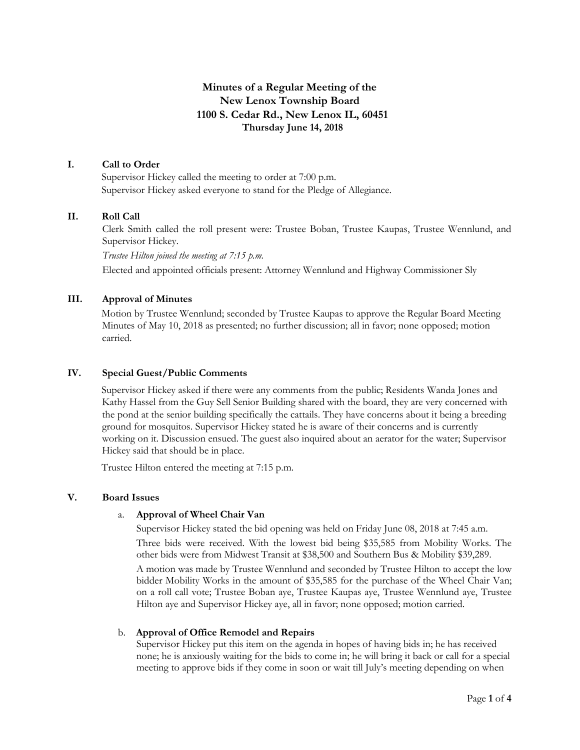# **Minutes of a Regular Meeting of the New Lenox Township Board 1100 S. Cedar Rd., New Lenox IL, 60451 Thursday June 14, 2018**

## **I. Call to Order**

Supervisor Hickey called the meeting to order at 7:00 p.m. Supervisor Hickey asked everyone to stand for the Pledge of Allegiance.

## **II. Roll Call**

Clerk Smith called the roll present were: Trustee Boban, Trustee Kaupas, Trustee Wennlund, and Supervisor Hickey.

*Trustee Hilton joined the meeting at 7:15 p.m.*

Elected and appointed officials present: Attorney Wennlund and Highway Commissioner Sly

## **III. Approval of Minutes**

Motion by Trustee Wennlund; seconded by Trustee Kaupas to approve the Regular Board Meeting Minutes of May 10, 2018 as presented; no further discussion; all in favor; none opposed; motion carried.

### **IV. Special Guest/Public Comments**

Supervisor Hickey asked if there were any comments from the public; Residents Wanda Jones and Kathy Hassel from the Guy Sell Senior Building shared with the board, they are very concerned with the pond at the senior building specifically the cattails. They have concerns about it being a breeding ground for mosquitos. Supervisor Hickey stated he is aware of their concerns and is currently working on it. Discussion ensued. The guest also inquired about an aerator for the water; Supervisor Hickey said that should be in place.

Trustee Hilton entered the meeting at 7:15 p.m.

### **V. Board Issues**

## a. **Approval of Wheel Chair Van**

Supervisor Hickey stated the bid opening was held on Friday June 08, 2018 at 7:45 a.m.

Three bids were received. With the lowest bid being \$35,585 from Mobility Works. The other bids were from Midwest Transit at \$38,500 and Southern Bus & Mobility \$39,289.

A motion was made by Trustee Wennlund and seconded by Trustee Hilton to accept the low bidder Mobility Works in the amount of \$35,585 for the purchase of the Wheel Chair Van; on a roll call vote; Trustee Boban aye, Trustee Kaupas aye, Trustee Wennlund aye, Trustee Hilton aye and Supervisor Hickey aye, all in favor; none opposed; motion carried.

### b. **Approval of Office Remodel and Repairs**

Supervisor Hickey put this item on the agenda in hopes of having bids in; he has received none; he is anxiously waiting for the bids to come in; he will bring it back or call for a special meeting to approve bids if they come in soon or wait till July's meeting depending on when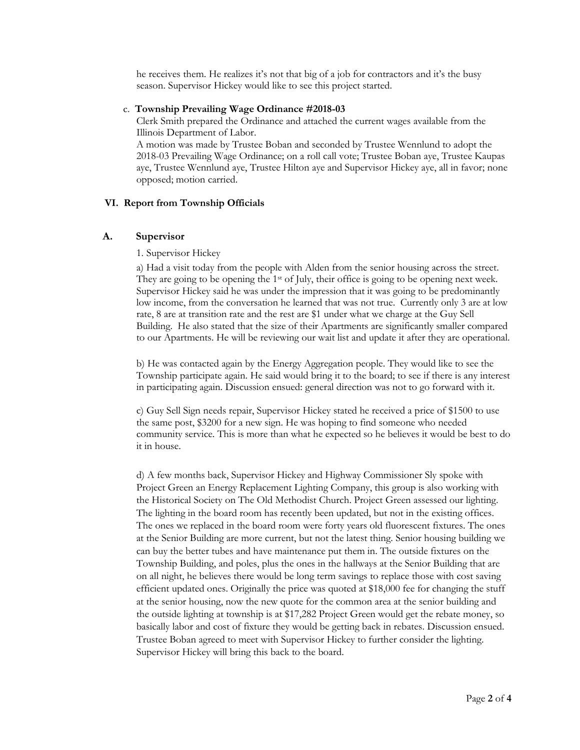he receives them. He realizes it's not that big of a job for contractors and it's the busy season. Supervisor Hickey would like to see this project started.

#### c. **Township Prevailing Wage Ordinance #2018-03**

Clerk Smith prepared the Ordinance and attached the current wages available from the Illinois Department of Labor.

A motion was made by Trustee Boban and seconded by Trustee Wennlund to adopt the 2018-03 Prevailing Wage Ordinance; on a roll call vote; Trustee Boban aye, Trustee Kaupas aye, Trustee Wennlund aye, Trustee Hilton aye and Supervisor Hickey aye, all in favor; none opposed; motion carried.

## **VI. Report from Township Officials**

#### **A. Supervisor**

#### 1. Supervisor Hickey

a) Had a visit today from the people with Alden from the senior housing across the street. They are going to be opening the 1<sup>st</sup> of July, their office is going to be opening next week. Supervisor Hickey said he was under the impression that it was going to be predominantly low income, from the conversation he learned that was not true. Currently only 3 are at low rate, 8 are at transition rate and the rest are \$1 under what we charge at the Guy Sell Building. He also stated that the size of their Apartments are significantly smaller compared to our Apartments. He will be reviewing our wait list and update it after they are operational.

b) He was contacted again by the Energy Aggregation people. They would like to see the Township participate again. He said would bring it to the board; to see if there is any interest in participating again. Discussion ensued: general direction was not to go forward with it.

c) Guy Sell Sign needs repair, Supervisor Hickey stated he received a price of \$1500 to use the same post, \$3200 for a new sign. He was hoping to find someone who needed community service. This is more than what he expected so he believes it would be best to do it in house.

d) A few months back, Supervisor Hickey and Highway Commissioner Sly spoke with Project Green an Energy Replacement Lighting Company, this group is also working with the Historical Society on The Old Methodist Church. Project Green assessed our lighting. The lighting in the board room has recently been updated, but not in the existing offices. The ones we replaced in the board room were forty years old fluorescent fixtures. The ones at the Senior Building are more current, but not the latest thing. Senior housing building we can buy the better tubes and have maintenance put them in. The outside fixtures on the Township Building, and poles, plus the ones in the hallways at the Senior Building that are on all night, he believes there would be long term savings to replace those with cost saving efficient updated ones. Originally the price was quoted at \$18,000 fee for changing the stuff at the senior housing, now the new quote for the common area at the senior building and the outside lighting at township is at \$17,282 Project Green would get the rebate money, so basically labor and cost of fixture they would be getting back in rebates. Discussion ensued. Trustee Boban agreed to meet with Supervisor Hickey to further consider the lighting. Supervisor Hickey will bring this back to the board.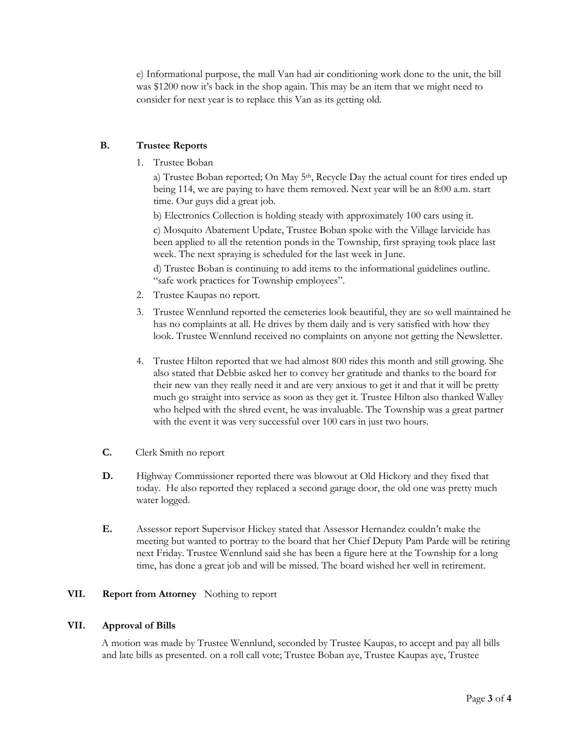e) Informational purpose, the mall Van had air conditioning work done to the unit, the bill was \$1200 now it's back in the shop again. This may be an item that we might need to consider for next year is to replace this Van as its getting old.

## **B. Trustee Reports**

1. Trustee Boban

a) Trustee Boban reported; On May 5th, Recycle Day the actual count for tires ended up being 114, we are paying to have them removed. Next year will be an 8:00 a.m. start time. Our guys did a great job.

b) Electronics Collection is holding steady with approximately 100 cars using it.

c) Mosquito Abatement Update, Trustee Boban spoke with the Village larvicide has been applied to all the retention ponds in the Township, first spraying took place last week. The next spraying is scheduled for the last week in June.

d) Trustee Boban is continuing to add items to the informational guidelines outline. "safe work practices for Township employees".

- 2. Trustee Kaupas no report.
- 3. Trustee Wennlund reported the cemeteries look beautiful, they are so well maintained he has no complaints at all. He drives by them daily and is very satisfied with how they look. Trustee Wennlund received no complaints on anyone not getting the Newsletter.
- 4. Trustee Hilton reported that we had almost 800 rides this month and still growing. She also stated that Debbie asked her to convey her gratitude and thanks to the board for their new van they really need it and are very anxious to get it and that it will be pretty much go straight into service as soon as they get it. Trustee Hilton also thanked Walley who helped with the shred event, he was invaluable. The Township was a great partner with the event it was very successful over 100 cars in just two hours.
- **C.** Clerk Smith no report
- **D.** Highway Commissioner reported there was blowout at Old Hickory and they fixed that today. He also reported they replaced a second garage door, the old one was pretty much water logged.
- **E.** Assessor report Supervisor Hickey stated that Assessor Hernandez couldn't make the meeting but wanted to portray to the board that her Chief Deputy Pam Parde will be retiring next Friday. Trustee Wennlund said she has been a figure here at the Township for a long time, has done a great job and will be missed. The board wished her well in retirement.

## **VII. Report from Attorney** Nothing to report

### **VII. Approval of Bills**

A motion was made by Trustee Wennlund, seconded by Trustee Kaupas, to accept and pay all bills and late bills as presented. on a roll call vote; Trustee Boban aye, Trustee Kaupas aye, Trustee